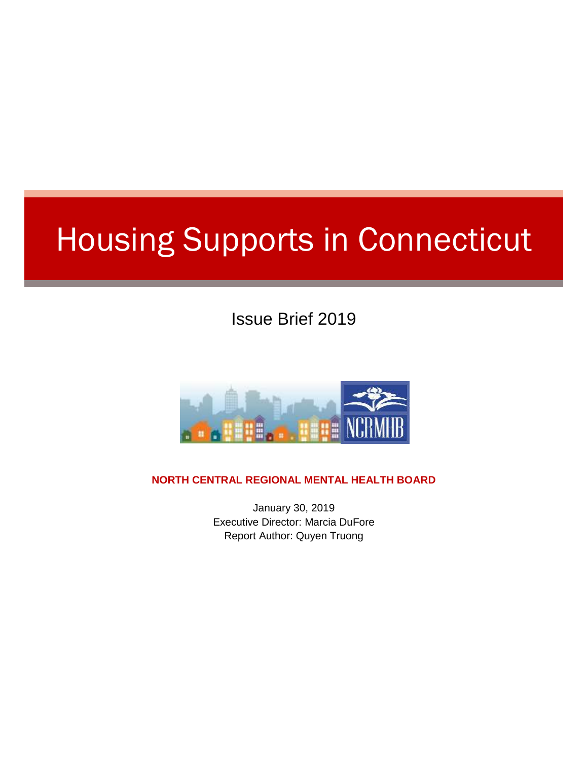# Housing Supports in Connecticut

Issue Brief 2019



**NORTH CENTRAL REGIONAL MENTAL HEALTH BOARD**

January 30, 2019 Executive Director: Marcia DuFore Report Author: Quyen Truong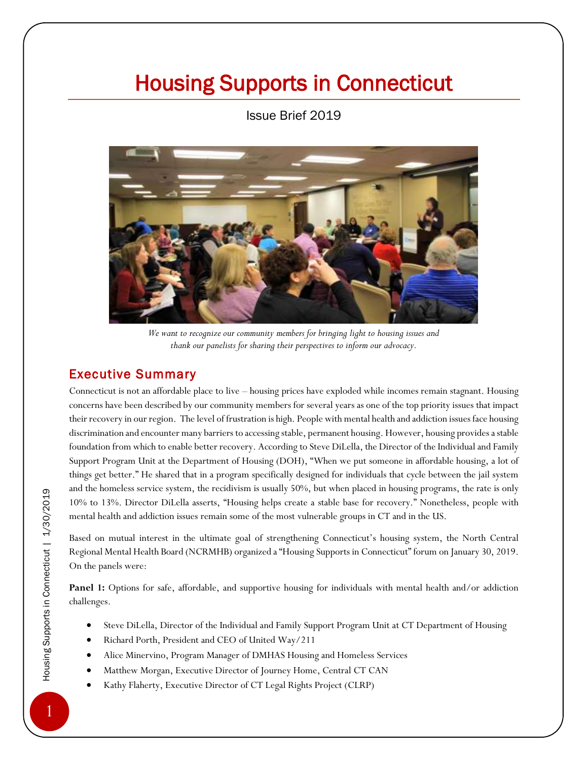## Housing Supports in Connecticut

Issue Brief 2019



*We want to recognize our community members for bringing light to housing issues and thank our panelists for sharing their perspectives to inform our advocacy.*

### Executive Summary

Connecticut is not an affordable place to live – housing prices have exploded while incomes remain stagnant. Housing concerns have been described by our community members for several years as one of the top priority issues that impact their recovery in our region. The level of frustration is high. People with mental health and addiction issues face housing discrimination and encounter many barriers to accessing stable, permanent housing. However, housing provides a stable foundation from which to enable better recovery. According to Steve DiLella, the Director of the Individual and Family Support Program Unit at the Department of Housing (DOH), "When we put someone in affordable housing, a lot of things get better." He shared that in a program specifically designed for individuals that cycle between the jail system and the homeless service system, the recidivism is usually 50%, but when placed in housing programs, the rate is only 10% to 13%. Director DiLella asserts, "Housing helps create a stable base for recovery." Nonetheless, people with mental health and addiction issues remain some of the most vulnerable groups in CT and in the US.

Based on mutual interest in the ultimate goal of strengthening Connecticut's housing system, the North Central Regional Mental Health Board (NCRMHB) organized a "Housing Supports in Connecticut" forum on January 30, 2019. On the panels were:

**Panel 1:** Options for safe, affordable, and supportive housing for individuals with mental health and/or addiction challenges.

- Steve DiLella, Director of the Individual and Family Support Program Unit at CT Department of Housing
- Richard Porth, President and CEO of United Way/211
- Alice Minervino, Program Manager of DMHAS Housing and Homeless Services
- Matthew Morgan, Executive Director of Journey Home, Central CT CAN
- Kathy Flaherty, Executive Director of CT Legal Rights Project (CLRP)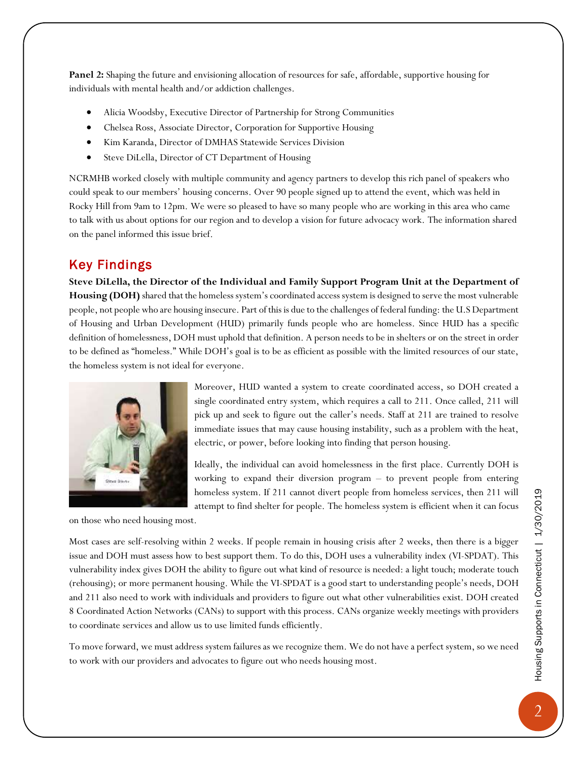**Panel 2:** Shaping the future and envisioning allocation of resources for safe, affordable, supportive housing for individuals with mental health and/or addiction challenges.

- Alicia Woodsby, Executive Director of Partnership for Strong Communities
- Chelsea Ross, Associate Director, Corporation for Supportive Housing
- Kim Karanda, Director of DMHAS Statewide Services Division
- Steve DiLella, Director of CT Department of Housing

NCRMHB worked closely with multiple community and agency partners to develop this rich panel of speakers who could speak to our members' housing concerns. Over 90 people signed up to attend the event, which was held in Rocky Hill from 9am to 12pm. We were so pleased to have so many people who are working in this area who came to talk with us about options for our region and to develop a vision for future advocacy work. The information shared on the panel informed this issue brief.

#### Key Findings

**Steve DiLella, the Director of the Individual and Family Support Program Unit at the Department of**  Housing (DOH) shared that the homeless system's coordinated access system is designed to serve the most vulnerable people, not people who are housing insecure. Part of this is due to the challenges of federal funding: the U.S Department of Housing and Urban Development (HUD) primarily funds people who are homeless. Since HUD has a specific definition of homelessness, DOH must uphold that definition. A person needs to be in shelters or on the street in order to be defined as "homeless." While DOH's goal is to be as efficient as possible with the limited resources of our state, the homeless system is not ideal for everyone.



Moreover, HUD wanted a system to create coordinated access, so DOH created a single coordinated entry system, which requires a call to 211. Once called, 211 will pick up and seek to figure out the caller's needs. Staff at 211 are trained to resolve immediate issues that may cause housing instability, such as a problem with the heat, electric, or power, before looking into finding that person housing.

Ideally, the individual can avoid homelessness in the first place. Currently DOH is working to expand their diversion program – to prevent people from entering homeless system. If 211 cannot divert people from homeless services, then 211 will attempt to find shelter for people. The homeless system is efficient when it can focus

on those who need housing most.

Most cases are self-resolving within 2 weeks. If people remain in housing crisis after 2 weeks, then there is a bigger issue and DOH must assess how to best support them. To do this, DOH uses a vulnerability index (VI-SPDAT). This vulnerability index gives DOH the ability to figure out what kind of resource is needed: a light touch; moderate touch (rehousing); or more permanent housing. While the VI-SPDAT is a good start to understanding people's needs, DOH and 211 also need to work with individuals and providers to figure out what other vulnerabilities exist. DOH created 8 Coordinated Action Networks (CANs) to support with this process. CANs organize weekly meetings with providers to coordinate services and allow us to use limited funds efficiently.

To move forward, we must address system failures as we recognize them. We do not have a perfect system, so we need to work with our providers and advocates to figure out who needs housing most.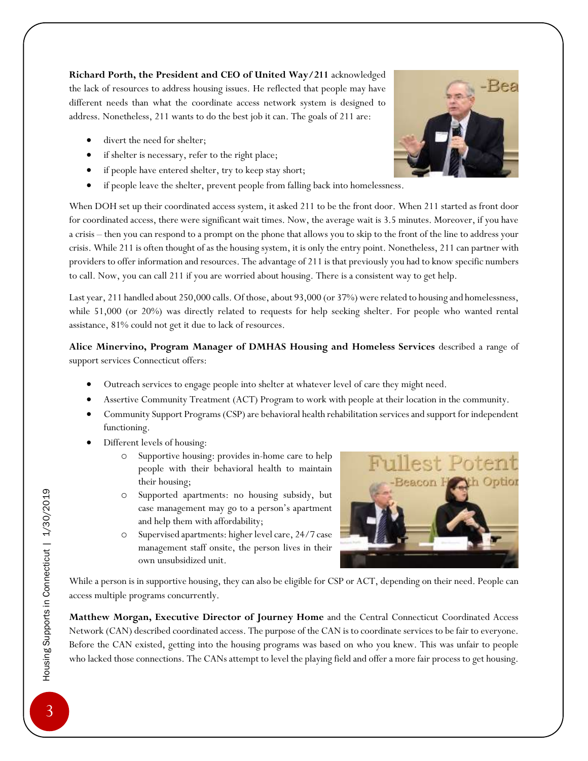**Richard Porth, the President and CEO of United Way/211** acknowledged the lack of resources to address housing issues. He reflected that people may have different needs than what the coordinate access network system is designed to address. Nonetheless, 211 wants to do the best job it can. The goals of 211 are:

- divert the need for shelter;
- if shelter is necessary, refer to the right place;
- if people have entered shelter, try to keep stay short;
- if people leave the shelter, prevent people from falling back into homelessness.

When DOH set up their coordinated access system, it asked 211 to be the front door. When 211 started as front door for coordinated access, there were significant wait times. Now, the average wait is 3.5 minutes. Moreover, if you have a crisis – then you can respond to a prompt on the phone that allows you to skip to the front of the line to address your crisis. While 211 is often thought of as the housing system, it is only the entry point. Nonetheless, 211 can partner with providers to offer information and resources. The advantage of 211 is that previously you had to know specific numbers to call. Now, you can call 211 if you are worried about housing. There is a consistent way to get help.

Last year, 211 handled about 250,000 calls. Of those, about 93,000 (or 37%) were related to housing and homelessness, while 51,000 (or 20%) was directly related to requests for help seeking shelter. For people who wanted rental assistance, 81% could not get it due to lack of resources.

**Alice Minervino, Program Manager of DMHAS Housing and Homeless Services** described a range of support services Connecticut offers:

- Outreach services to engage people into shelter at whatever level of care they might need.
- Assertive Community Treatment (ACT) Program to work with people at their location in the community.
- Community Support Programs (CSP) are behavioral health rehabilitation services and support for independent functioning.
- Different levels of housing:
	- o Supportive housing: provides in-home care to help people with their behavioral health to maintain their housing;
	- o Supported apartments: no housing subsidy, but case management may go to a person's apartment and help them with affordability;
	- o Supervised apartments: higher level care, 24/7 case management staff onsite, the person lives in their own unsubsidized unit.

While a person is in supportive housing, they can also be eligible for CSP or ACT, depending on their need. People can access multiple programs concurrently.

**Matthew Morgan, Executive Director of Journey Home** and the Central Connecticut Coordinated Access Network (CAN) described coordinated access. The purpose of the CAN is to coordinate services to be fair to everyone. Before the CAN existed, getting into the housing programs was based on who you knew. This was unfair to people who lacked those connections. The CANs attempt to level the playing field and offer a more fair process to get housing.



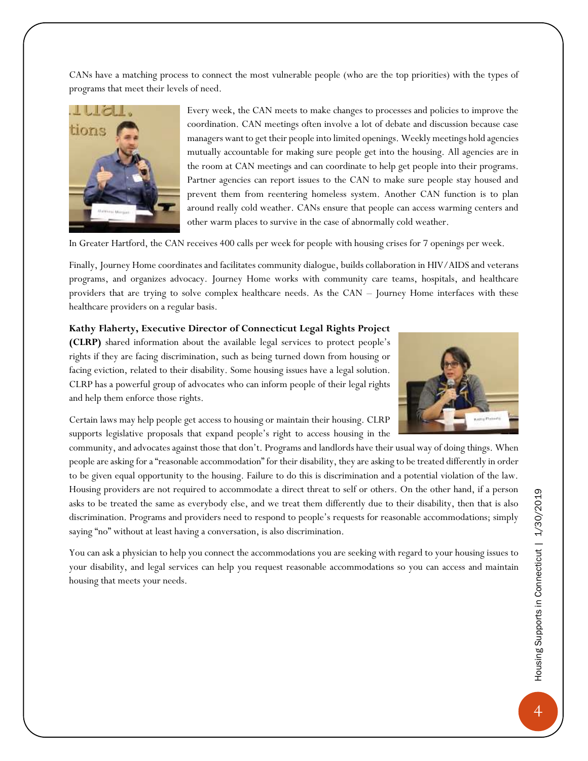CANs have a matching process to connect the most vulnerable people (who are the top priorities) with the types of programs that meet their levels of need.



Every week, the CAN meets to make changes to processes and policies to improve the coordination. CAN meetings often involve a lot of debate and discussion because case managers want to get their people into limited openings. Weekly meetings hold agencies mutually accountable for making sure people get into the housing. All agencies are in the room at CAN meetings and can coordinate to help get people into their programs. Partner agencies can report issues to the CAN to make sure people stay housed and prevent them from reentering homeless system. Another CAN function is to plan around really cold weather. CANs ensure that people can access warming centers and other warm places to survive in the case of abnormally cold weather.

In Greater Hartford, the CAN receives 400 calls per week for people with housing crises for 7 openings per week.

Finally, Journey Home coordinates and facilitates community dialogue, builds collaboration in HIV/AIDS and veterans programs, and organizes advocacy. Journey Home works with community care teams, hospitals, and healthcare providers that are trying to solve complex healthcare needs. As the CAN – Journey Home interfaces with these healthcare providers on a regular basis.

#### **Kathy Flaherty, Executive Director of Connecticut Legal Rights Project**

**(CLRP)** shared information about the available legal services to protect people's rights if they are facing discrimination, such as being turned down from housing or facing eviction, related to their disability. Some housing issues have a legal solution. CLRP has a powerful group of advocates who can inform people of their legal rights and help them enforce those rights.



Certain laws may help people get access to housing or maintain their housing. CLRP supports legislative proposals that expand people's right to access housing in the

community, and advocates against those that don't. Programs and landlords have their usual way of doing things. When people are asking for a "reasonable accommodation" for their disability, they are asking to be treated differently in order to be given equal opportunity to the housing. Failure to do this is discrimination and a potential violation of the law. Housing providers are not required to accommodate a direct threat to self or others. On the other hand, if a person asks to be treated the same as everybody else, and we treat them differently due to their disability, then that is also discrimination. Programs and providers need to respond to people's requests for reasonable accommodations; simply saying "no" without at least having a conversation, is also discrimination.

You can ask a physician to help you connect the accommodations you are seeking with regard to your housing issues to your disability, and legal services can help you request reasonable accommodations so you can access and maintain housing that meets your needs.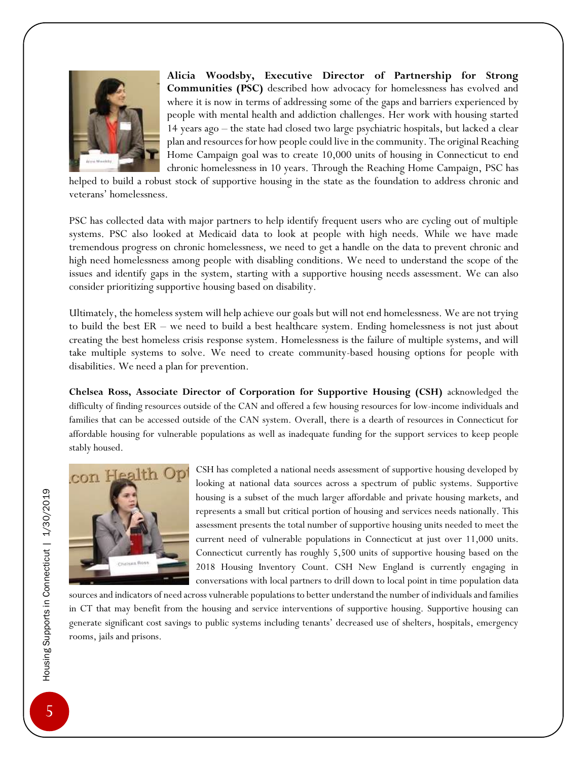

**Alicia Woodsby, Executive Director of Partnership for Strong Communities (PSC)** described how advocacy for homelessness has evolved and where it is now in terms of addressing some of the gaps and barriers experienced by people with mental health and addiction challenges. Her work with housing started 14 years ago – the state had closed two large psychiatric hospitals, but lacked a clear plan and resources for how people could live in the community. The original Reaching Home Campaign goal was to create 10,000 units of housing in Connecticut to end chronic homelessness in 10 years. Through the Reaching Home Campaign, PSC has

helped to build a robust stock of supportive housing in the state as the foundation to address chronic and veterans' homelessness.

PSC has collected data with major partners to help identify frequent users who are cycling out of multiple systems. PSC also looked at Medicaid data to look at people with high needs. While we have made tremendous progress on chronic homelessness, we need to get a handle on the data to prevent chronic and high need homelessness among people with disabling conditions. We need to understand the scope of the issues and identify gaps in the system, starting with a supportive housing needs assessment. We can also consider prioritizing supportive housing based on disability.

Ultimately, the homeless system will help achieve our goals but will not end homelessness. We are not trying to build the best ER – we need to build a best healthcare system. Ending homelessness is not just about creating the best homeless crisis response system. Homelessness is the failure of multiple systems, and will take multiple systems to solve. We need to create community-based housing options for people with disabilities. We need a plan for prevention.

**Chelsea Ross, Associate Director of Corporation for Supportive Housing (CSH)** acknowledged the difficulty of finding resources outside of the CAN and offered a few housing resources for low-income individuals and families that can be accessed outside of the CAN system. Overall, there is a dearth of resources in Connecticut for affordable housing for vulnerable populations as well as inadequate funding for the support services to keep people stably housed.



CSH has completed a national needs assessment of supportive housing developed by looking at national data sources across a spectrum of public systems. Supportive housing is a subset of the much larger affordable and private housing markets, and represents a small but critical portion of housing and services needs nationally. This assessment presents the total number of supportive housing units needed to meet the current need of vulnerable populations in Connecticut at just over 11,000 units. Connecticut currently has roughly 5,500 units of supportive housing based on the 2018 Housing Inventory Count. CSH New England is currently engaging in conversations with local partners to drill down to local point in time population data

sources and indicators of need across vulnerable populations to better understand the number of individuals and families in CT that may benefit from the housing and service interventions of supportive housing. Supportive housing can generate significant cost savings to public systems including tenants' decreased use of shelters, hospitals, emergency rooms, jails and prisons.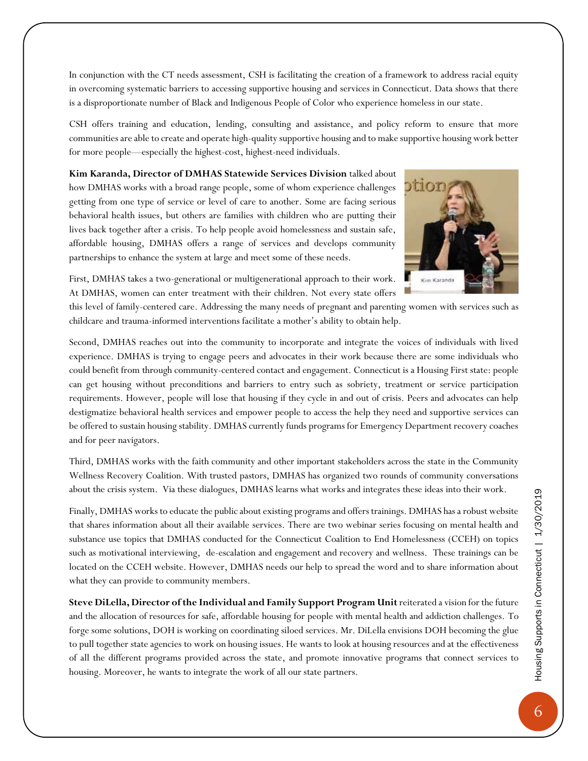In conjunction with the CT needs assessment, CSH is facilitating the creation of a framework to address racial equity in overcoming systematic barriers to accessing supportive housing and services in Connecticut. Data shows that there is a disproportionate number of Black and Indigenous People of Color who experience homeless in our state.

CSH offers training and education, lending, consulting and assistance, and policy reform to ensure that more communities are able to create and operate high-quality supportive housing and to make supportive housing work better for more people—especially the highest-cost, highest-need individuals.

**Kim Karanda, Director of DMHAS Statewide Services Division** talked about how DMHAS works with a broad range people, some of whom experience challenges getting from one type of service or level of care to another. Some are facing serious behavioral health issues, but others are families with children who are putting their lives back together after a crisis. To help people avoid homelessness and sustain safe, affordable housing, DMHAS offers a range of services and develops community partnerships to enhance the system at large and meet some of these needs.



First, DMHAS takes a two-generational or multigenerational approach to their work. At DMHAS, women can enter treatment with their children. Not every state offers

this level of family-centered care. Addressing the many needs of pregnant and parenting women with services such as childcare and trauma-informed interventions facilitate a mother's ability to obtain help.

Second, DMHAS reaches out into the community to incorporate and integrate the voices of individuals with lived experience. DMHAS is trying to engage peers and advocates in their work because there are some individuals who could benefit from through community-centered contact and engagement. Connecticut is a Housing First state: people can get housing without preconditions and barriers to entry such as sobriety, treatment or service participation requirements. However, people will lose that housing if they cycle in and out of crisis. Peers and advocates can help destigmatize behavioral health services and empower people to access the help they need and supportive services can be offered to sustain housing stability. DMHAS currently funds programs for Emergency Department recovery coaches and for peer navigators.

Third, DMHAS works with the faith community and other important stakeholders across the state in the Community Wellness Recovery Coalition. With trusted pastors, DMHAS has organized two rounds of community conversations about the crisis system. Via these dialogues, DMHAS learns what works and integrates these ideas into their work.

Finally, DMHAS works to educate the public about existing programs and offers trainings. DMHAS has a robust website that shares information about all their available services. There are two webinar series focusing on mental health and substance use topics that DMHAS conducted for the Connecticut Coalition to End Homelessness (CCEH) on topics such as motivational interviewing, de-escalation and engagement and recovery and wellness. These trainings can be located on the CCEH website. However, DMHAS needs our help to spread the word and to share information about what they can provide to community members.

**Steve DiLella, Director of the Individual and Family Support Program Unit** reiterated a vision for the future and the allocation of resources for safe, affordable housing for people with mental health and addiction challenges. To forge some solutions, DOH is working on coordinating siloed services. Mr. DiLella envisions DOH becoming the glue to pull together state agencies to work on housing issues. He wants to look at housing resources and at the effectiveness of all the different programs provided across the state, and promote innovative programs that connect services to housing. Moreover, he wants to integrate the work of all our state partners.